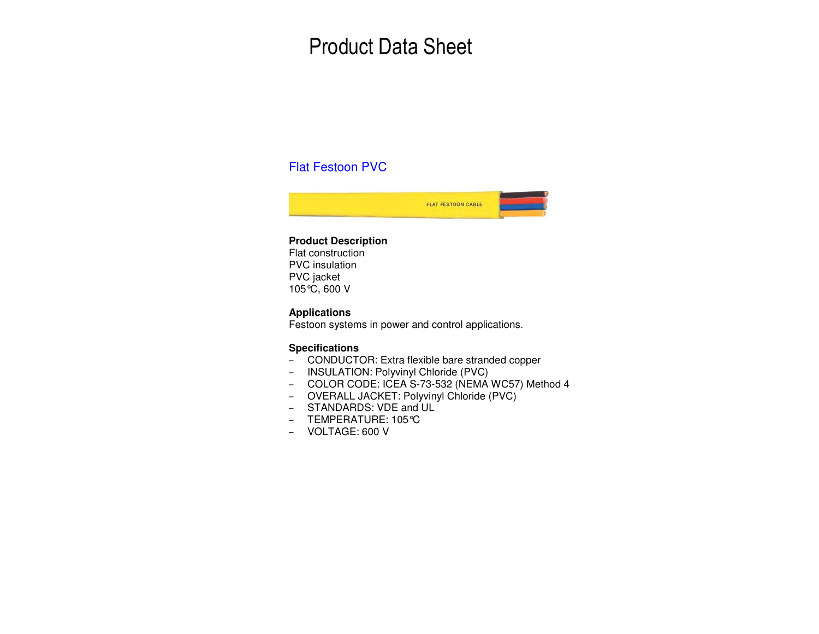# Product Data Sheet

## Flat Festoon PVC



#### **Product Description**

Flat construction PVC insulation PVC jacket 105°C, 600 V

### **Applications**

Festoon systems in power and control applications.

#### **Specifications**

- CONDUCTOR: Extra flexible bare stranded copper
- INSULATION: Polyvinyl Chloride (PVC)
- COLOR CODE: ICEA S-73-532 (NEMA WC57) Method 4
- OVERALL JACKET: Polyvinyl Chloride (PVC)
- STANDARDS: VDE and UL
- TEMPERATURE: 105°C
- VOLTAGE: 600 V